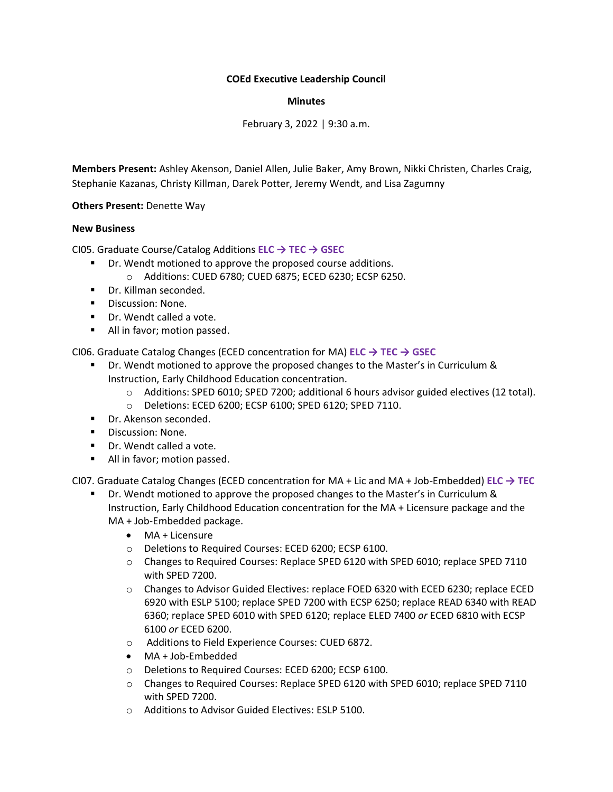## **COEd Executive Leadership Council**

## **Minutes**

February 3, 2022 | 9:30 a.m.

**Members Present:** Ashley Akenson, Daniel Allen, Julie Baker, Amy Brown, Nikki Christen, Charles Craig, Stephanie Kazanas, Christy Killman, Darek Potter, Jeremy Wendt, and Lisa Zagumny

**Others Present:** Denette Way

## **New Business**

CI05. Graduate Course/Catalog Additions **ELC → TEC → GSEC**

- Dr. Wendt motioned to approve the proposed course additions. o Additions: CUED 6780; CUED 6875; ECED 6230; ECSP 6250.
- Dr. Killman seconded.
- Discussion: None.
- Dr. Wendt called a vote.
- All in favor; motion passed.

CI06. Graduate Catalog Changes (ECED concentration for MA) **ELC → TEC → GSEC**

- Dr. Wendt motioned to approve the proposed changes to the Master's in Curriculum & Instruction, Early Childhood Education concentration.
	- o Additions: SPED 6010; SPED 7200; additional 6 hours advisor guided electives (12 total).
		- o Deletions: ECED 6200; ECSP 6100; SPED 6120; SPED 7110.
- Dr. Akenson seconded.
- Discussion: None.
- Dr. Wendt called a vote.
- All in favor; motion passed.

CI07. Graduate Catalog Changes (ECED concentration for MA + Lic and MA + Job-Embedded) **ELC → TEC**

- Dr. Wendt motioned to approve the proposed changes to the Master's in Curriculum & Instruction, Early Childhood Education concentration for the MA + Licensure package and the MA + Job-Embedded package.
	- MA + Licensure
	- o Deletions to Required Courses: ECED 6200; ECSP 6100.
	- o Changes to Required Courses: Replace SPED 6120 with SPED 6010; replace SPED 7110 with SPED 7200.
	- o Changes to Advisor Guided Electives: replace FOED 6320 with ECED 6230; replace ECED 6920 with ESLP 5100; replace SPED 7200 with ECSP 6250; replace READ 6340 with READ 6360; replace SPED 6010 with SPED 6120; replace ELED 7400 *or* ECED 6810 with ECSP 6100 *or* ECED 6200.
	- o Additions to Field Experience Courses: CUED 6872.
	- MA + Job-Embedded
	- o Deletions to Required Courses: ECED 6200; ECSP 6100.
	- o Changes to Required Courses: Replace SPED 6120 with SPED 6010; replace SPED 7110 with SPED 7200.
	- o Additions to Advisor Guided Electives: ESLP 5100.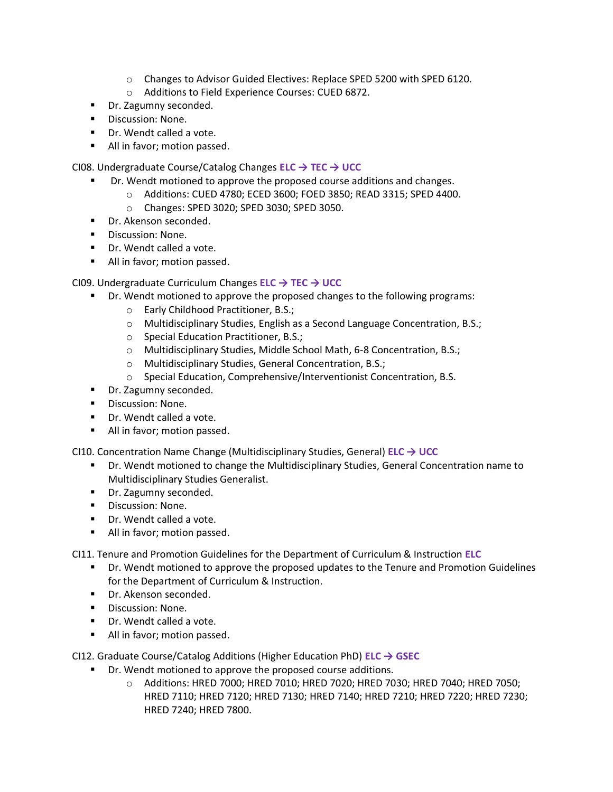- o Changes to Advisor Guided Electives: Replace SPED 5200 with SPED 6120.
- o Additions to Field Experience Courses: CUED 6872.
- Dr. Zagumny seconded.
- Discussion: None.
- Dr. Wendt called a vote.
- All in favor; motion passed.

CI08. Undergraduate Course/Catalog Changes **ELC → TEC → UCC**

- Dr. Wendt motioned to approve the proposed course additions and changes.
	- o Additions: CUED 4780; ECED 3600; FOED 3850; READ 3315; SPED 4400.
		- o Changes: SPED 3020; SPED 3030; SPED 3050.
- Dr. Akenson seconded.
- Discussion: None.
- Dr. Wendt called a vote.
- All in favor; motion passed.

CI09. Undergraduate Curriculum Changes **ELC → TEC → UCC**

- **•** Dr. Wendt motioned to approve the proposed changes to the following programs:
	- o Early Childhood Practitioner, B.S.;
	- o Multidisciplinary Studies, English as a Second Language Concentration, B.S.;
	- o Special Education Practitioner, B.S.;
	- o Multidisciplinary Studies, Middle School Math, 6-8 Concentration, B.S.;
	- o Multidisciplinary Studies, General Concentration, B.S.;
	- o Special Education, Comprehensive/Interventionist Concentration, B.S.
- Dr. Zagumny seconded.
- Discussion: None.
- Dr. Wendt called a vote.
- All in favor; motion passed.

CI10. Concentration Name Change (Multidisciplinary Studies, General) **ELC → UCC**

- Dr. Wendt motioned to change the Multidisciplinary Studies, General Concentration name to Multidisciplinary Studies Generalist.
- Dr. Zagumny seconded.
- Discussion: None.
- Dr. Wendt called a vote.
- All in favor; motion passed.

CI11. Tenure and Promotion Guidelines for the Department of Curriculum & Instruction **ELC**

- Dr. Wendt motioned to approve the proposed updates to the Tenure and Promotion Guidelines for the Department of Curriculum & Instruction.
- Dr. Akenson seconded.
- Discussion: None.
- Dr. Wendt called a vote.
- All in favor; motion passed.

CI12. Graduate Course/Catalog Additions (Higher Education PhD) **ELC → GSEC**

- Dr. Wendt motioned to approve the proposed course additions.
	- o Additions: HRED 7000; HRED 7010; HRED 7020; HRED 7030; HRED 7040; HRED 7050; HRED 7110; HRED 7120; HRED 7130; HRED 7140; HRED 7210; HRED 7220; HRED 7230; HRED 7240; HRED 7800.